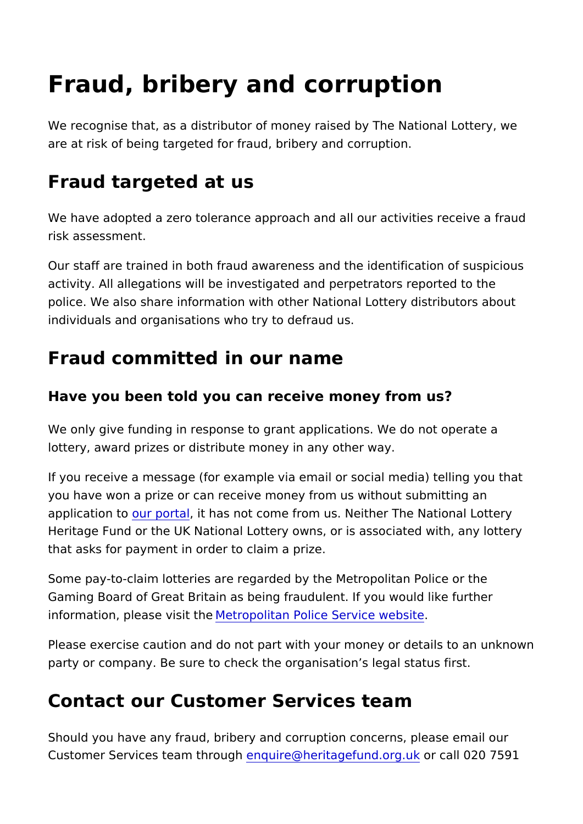## Fraud, bribery and corruption

We recognise that, as a distributor of money raised by The Nati are at risk of being targeted for fraud, bribery and corruption.

## Fraud targeted at us

We have adopted a zero tolerance approach and all our activitie risk assessment.

Our staff are trained in both fraud awareness and the identifica activity. All allegations will be investigated and perpetrators re police. We also share information with other National Lottery di individuals and organisations who try to defraud us.

## Fraud committed in our name

Have you been told you can receive money from us?

We only give funding in response to grant applications. We do r lottery, award prizes or distribute money in any other way.

If you receive a message (for example via email or social media you have won a prize or can receive money from us without sub application to portat has not come from us. Neither The National Heritage Fund or the UK National Lottery owns, or is associated that asks for payment in order to claim a prize.

Some pay-to-claim lotteries are regarded by the Metropolitan P Gaming Board of Great Britain as being fraudulent. If you would information, please Mistitot hoel / itan Police Service website

Please exercise caution and do not part with your money or det party or company. Be sure to check the organisation s legal sta

## Contact our Customer Services team

Should you have any fraud, bribery and corruption concerns, please that Customer Services teamethorupiu en@heritagefundoorgaulk 020 7591